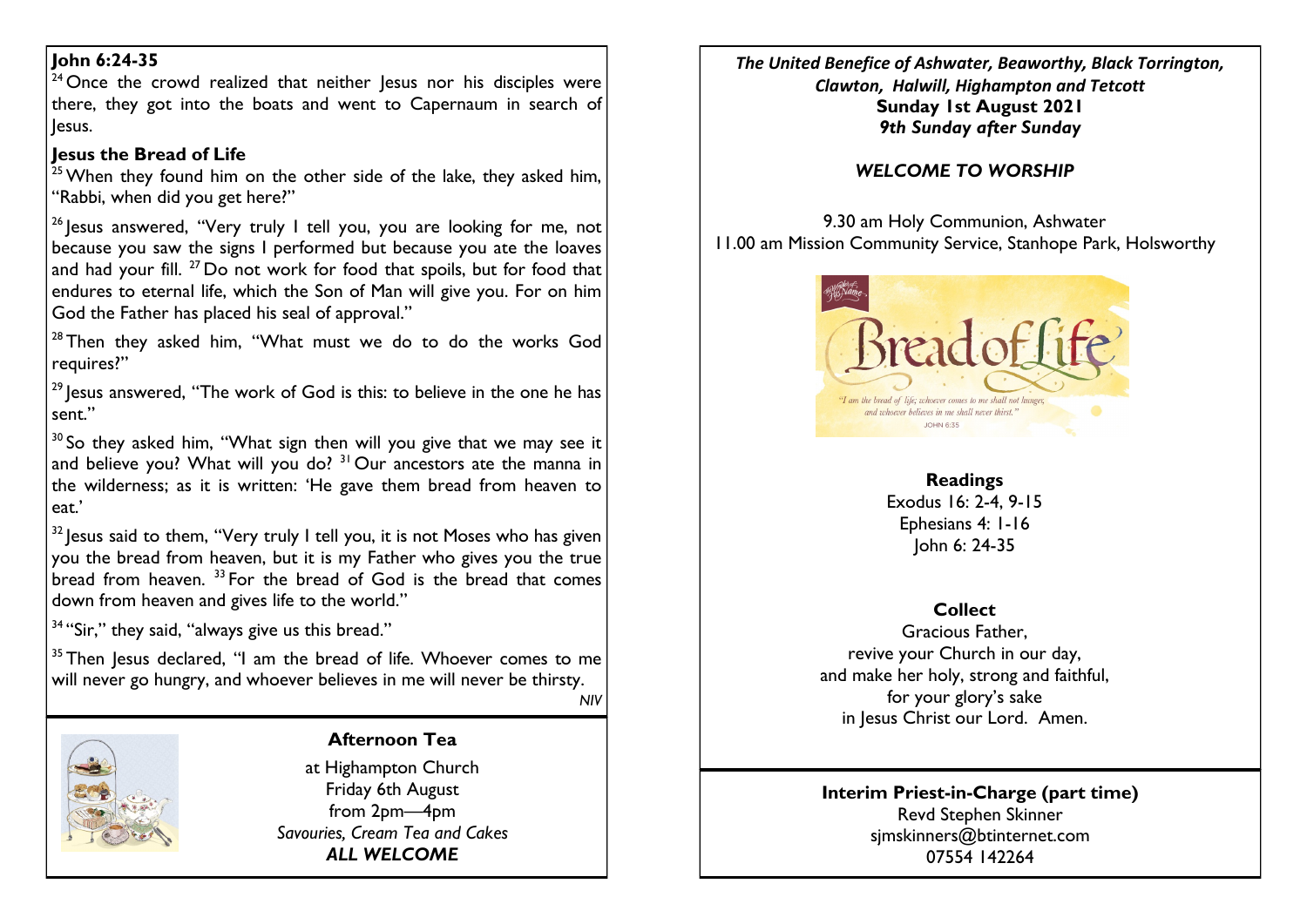### **John 6:24-35**

 $24$  Once the crowd realized that neither Jesus nor his disciples were there, they got into the boats and went to Capernaum in search of Jesus.

## **Jesus the Bread of Life**

 $25$  When they found him on the other side of the lake, they asked him, "Rabbi, when did you get here?"

 $26$  Jesus answered, "Very truly I tell you, you are looking for me, not because you saw the signs I performed but because you ate the loaves and had your fill.  $^{27}$  Do not work for food that spoils, but for food that endures to eternal life, which the Son of Man will give you. For on him God the Father has placed his seal of approval."

 $28$  Then they asked him, "What must we do to do the works God requires?"

<sup>29</sup> lesus answered. "The work of God is this: to believe in the one he has sent."

 $30$  So they asked him, "What sign then will you give that we may see it and believe you? What will you do? <sup>31</sup> Our ancestors ate the manna in the wilderness; as it is written: 'He gave them bread from heaven to eat.'

 $32$  lesus said to them, "Very truly I tell you, it is not Moses who has given you the bread from heaven, but it is my Father who gives you the true bread from heaven.<sup>33</sup> For the bread of God is the bread that comes down from heaven and gives life to the world."

<sup>34</sup> "Sir," they said, "always give us this bread."

 $35$  Then Jesus declared, "I am the bread of life. Whoever comes to me will never go hungry, and whoever believes in me will never be thirsty. *NIV*

## **Afternoon Tea**

at Highampton Church Friday 6th August from 2pm—4pm *Savouries, Cream Tea and Cakes ALL WELCOME*

*The United Benefice of Ashwater, Beaworthy, Black Torrington, Clawton, Halwill, Highampton and Tetcott* **Sunday 1st August 2021** *9th Sunday after Sunday*

# *WELCOME TO WORSHIP*

9.30 am Holy Communion, Ashwater 11.00 am Mission Community Service, Stanhope Park, Holsworthy



## **Readings**

Exodus 16: 2-4, 9-15 Ephesians 4: 1-16 John 6: 24-35

## **Collect**

Gracious Father, revive your Church in our day, and make her holy, strong and faithful, for your glory's sake in Jesus Christ our Lord. Amen.

#### **Interim Priest-in-Charge (part time)** Revd Stephen Skinner [sjmskinners@btinternet.com](mailto:sjmskinners@btinternet.com) 07554 142264